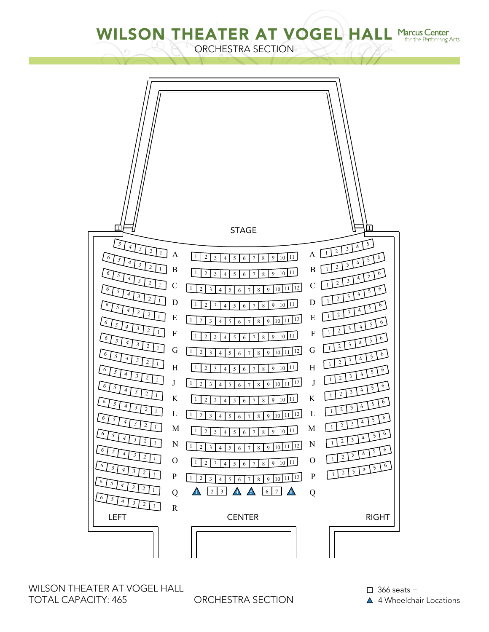WILSON THEATER AT VOGEL HALL Marcus Center for the Performing Arts

ORCHESTRA SECTION



WILSON THEATER AT VOGEL HALL TOTAL CAPACITY: 465

ORCHESTRA SECTION